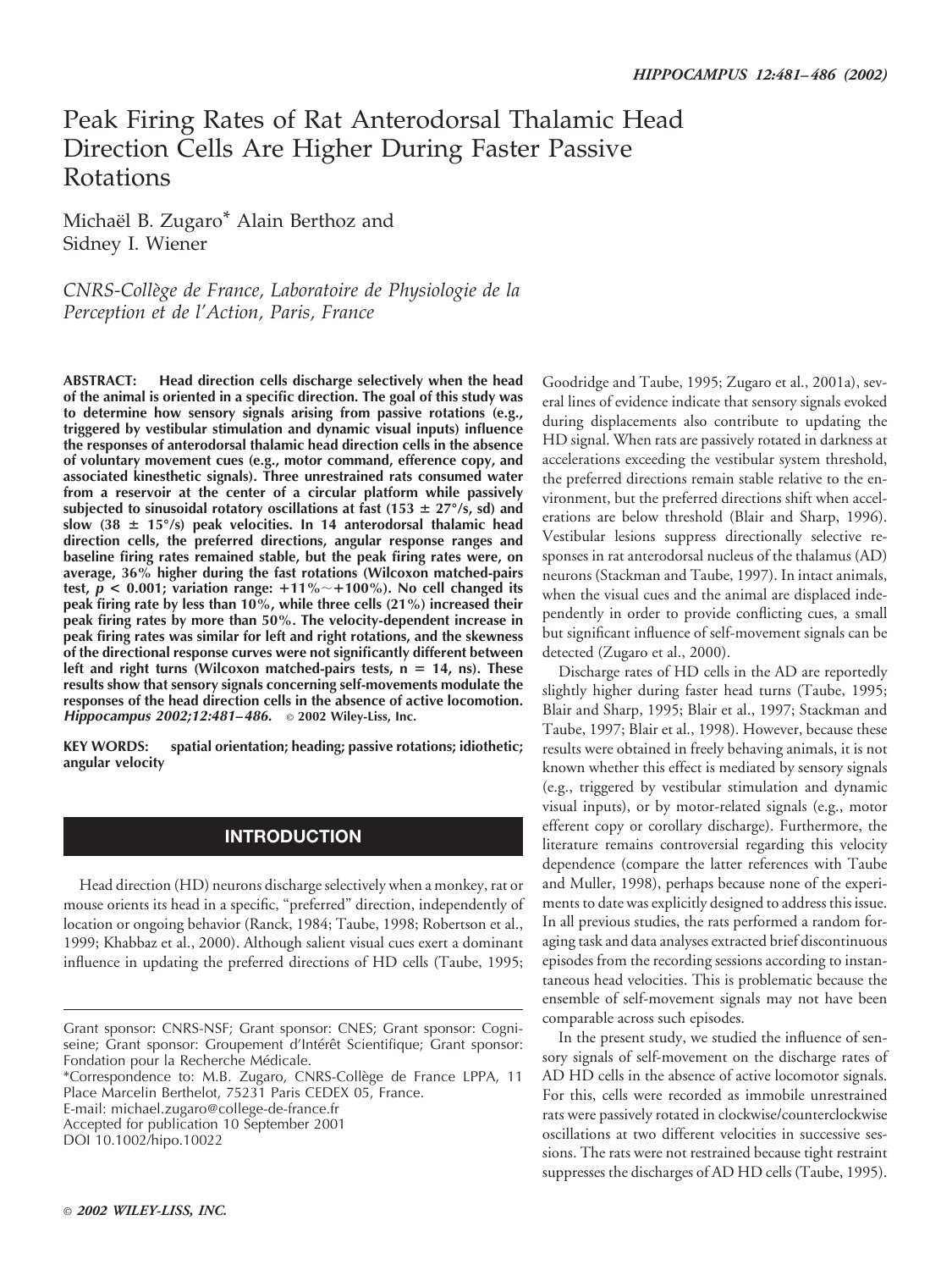# Peak Firing Rates of Rat Anterodorsal Thalamic Head Direction Cells Are Higher During Faster Passive Rotations

Michaël B. Zugaro\* Alain Berthoz and Sidney I. Wiener

*CNRS-Colle`ge de France, Laboratoire de Physiologie de la Perception et de l'Action, Paris, France*

**ABSTRACT: Head direction cells discharge selectively when the head of the animal is oriented in a specific direction. The goal of this study was to determine how sensory signals arising from passive rotations (e.g., triggered by vestibular stimulation and dynamic visual inputs) influence the responses of anterodorsal thalamic head direction cells in the absence of voluntary movement cues (e.g., motor command, efference copy, and associated kinesthetic signals). Three unrestrained rats consumed water from a reservoir at the center of a circular platform while passively subjected to sinusoidal rotatory oscillations at fast (153 27°/s, sd) and slow (38 15°/s) peak velocities. In 14 anterodorsal thalamic head direction cells, the preferred directions, angular response ranges and baseline firing rates remained stable, but the peak firing rates were, on average, 36% higher during the fast rotations (Wilcoxon matched-pairs test,** *p* **< 0.001; variation range:** -**11%**-**100%). No cell changed its peak firing rate by less than 10%, while three cells (21%) increased their peak firing rates by more than 50%. The velocity-dependent increase in peak firing rates was similar for left and right rotations, and the skewness of the directional response curves were not significantly different between left and right turns (Wilcoxon matched-pairs tests, n 14, ns). These results show that sensory signals concerning self-movements modulate the responses of the head direction cells in the absence of active locomotion.** *Hippocampus 2002;12:481–486.* © **2002 Wiley-Liss, Inc.**

**KEY WORDS: spatial orientation; heading; passive rotations; idiothetic; angular velocity**

# **INTRODUCTION**

Head direction (HD) neurons discharge selectively when a monkey, rat or mouse orients its head in a specific, "preferred" direction, independently of location or ongoing behavior (Ranck, 1984; Taube, 1998; Robertson et al., 1999; Khabbaz et al., 2000). Although salient visual cues exert a dominant influence in updating the preferred directions of HD cells (Taube, 1995;

\*Correspondence to: M.B. Zugaro, CNRS-Colle`ge de France LPPA, 11 Place Marcelin Berthelot, 75231 Paris CEDEX 05, France.

E-mail: michael.zugaro@college-de-france.fr Accepted for publication 10 September 2001

DOI 10.1002/hipo.10022

Goodridge and Taube, 1995; Zugaro et al., 2001a), several lines of evidence indicate that sensory signals evoked during displacements also contribute to updating the HD signal. When rats are passively rotated in darkness at accelerations exceeding the vestibular system threshold, the preferred directions remain stable relative to the environment, but the preferred directions shift when accelerations are below threshold (Blair and Sharp, 1996). Vestibular lesions suppress directionally selective responses in rat anterodorsal nucleus of the thalamus (AD) neurons (Stackman and Taube, 1997). In intact animals, when the visual cues and the animal are displaced independently in order to provide conflicting cues, a small but significant influence of self-movement signals can be detected (Zugaro et al., 2000).

Discharge rates of HD cells in the AD are reportedly slightly higher during faster head turns (Taube, 1995; Blair and Sharp, 1995; Blair et al., 1997; Stackman and Taube, 1997; Blair et al., 1998). However, because these results were obtained in freely behaving animals, it is not known whether this effect is mediated by sensory signals (e.g., triggered by vestibular stimulation and dynamic visual inputs), or by motor-related signals (e.g., motor efferent copy or corollary discharge). Furthermore, the literature remains controversial regarding this velocity dependence (compare the latter references with Taube and Muller, 1998), perhaps because none of the experiments to date was explicitly designed to address this issue. In all previous studies, the rats performed a random foraging task and data analyses extracted brief discontinuous episodes from the recording sessions according to instantaneous head velocities. This is problematic because the ensemble of self-movement signals may not have been comparable across such episodes.

In the present study, we studied the influence of sensory signals of self-movement on the discharge rates of AD HD cells in the absence of active locomotor signals. For this, cells were recorded as immobile unrestrained rats were passively rotated in clockwise/counterclockwise oscillations at two different velocities in successive sessions. The rats were not restrained because tight restraint suppresses the discharges of AD HD cells (Taube, 1995).

Grant sponsor: CNRS-NSF; Grant sponsor: CNES; Grant sponsor: Cogniseine; Grant sponsor: Groupement d'Intérêt Scientifique; Grant sponsor: Fondation pour la Recherche Médicale.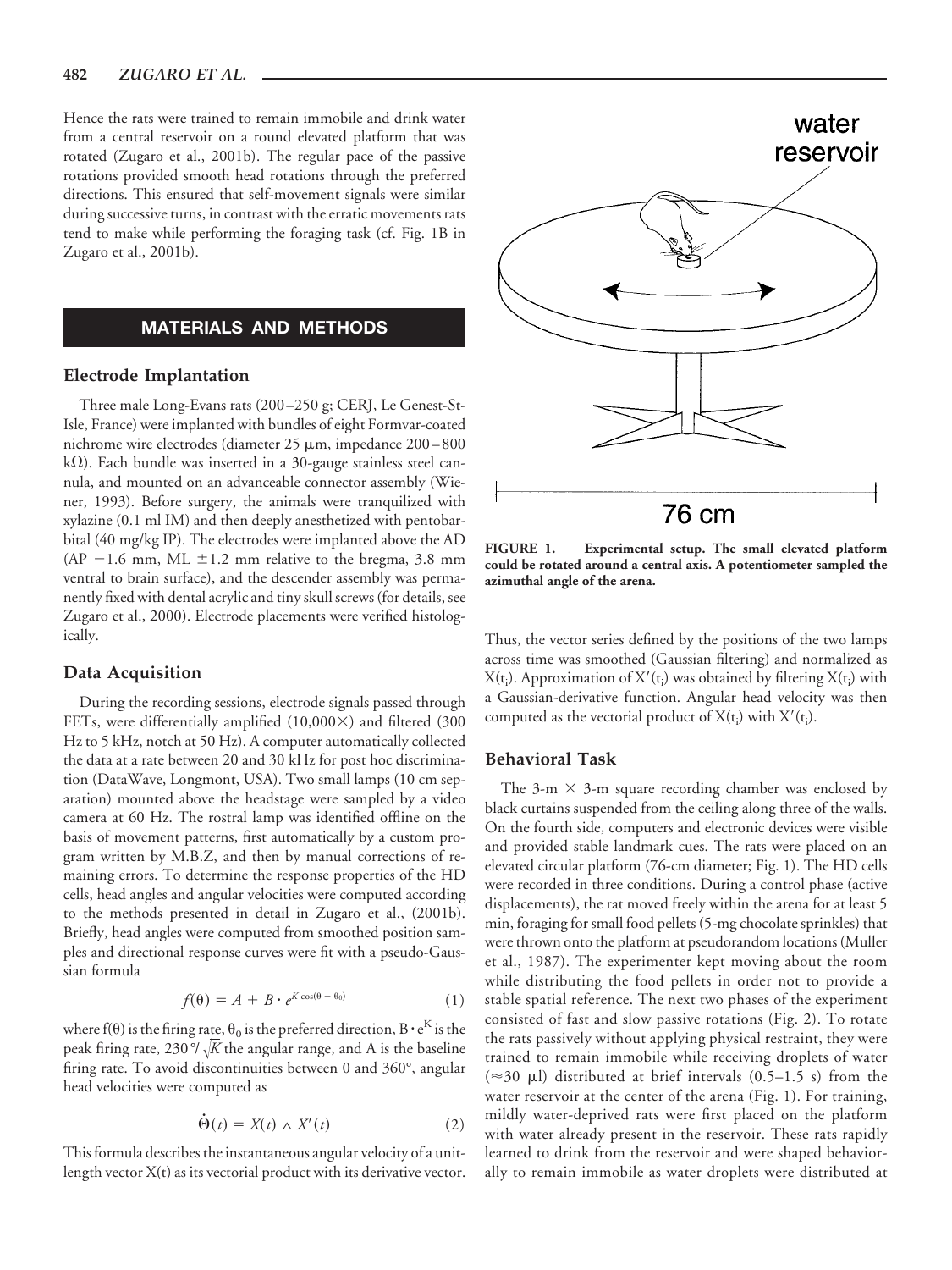Hence the rats were trained to remain immobile and drink water from a central reservoir on a round elevated platform that was rotated (Zugaro et al., 2001b). The regular pace of the passive rotations provided smooth head rotations through the preferred directions. This ensured that self-movement signals were similar during successive turns, in contrast with the erratic movements rats tend to make while performing the foraging task (cf. Fig. 1B in Zugaro et al., 2001b).

# **MATERIALS AND METHODS**

#### **Electrode Implantation**

Three male Long-Evans rats (200–250 g; CERJ, Le Genest-St-Isle, France) were implanted with bundles of eight Formvar-coated nichrome wire electrodes (diameter 25 µm, impedance 200-800  $k\Omega$ ). Each bundle was inserted in a 30-gauge stainless steel cannula, and mounted on an advanceable connector assembly (Wiener, 1993). Before surgery, the animals were tranquilized with xylazine (0.1 ml IM) and then deeply anesthetized with pentobarbital (40 mg/kg IP). The electrodes were implanted above the AD  $(AP - 1.6$  mm, ML  $\pm 1.2$  mm relative to the bregma, 3.8 mm ventral to brain surface), and the descender assembly was permanently fixed with dental acrylic and tiny skull screws (for details, see Zugaro et al., 2000). Electrode placements were verified histologically.

#### **Data Acquisition**

During the recording sessions, electrode signals passed through FETs, were differentially amplified  $(10,000\times)$  and filtered  $(300$ Hz to 5 kHz, notch at 50 Hz). A computer automatically collected the data at a rate between 20 and 30 kHz for post hoc discrimination (DataWave, Longmont, USA). Two small lamps (10 cm separation) mounted above the headstage were sampled by a video camera at 60 Hz. The rostral lamp was identified offline on the basis of movement patterns, first automatically by a custom program written by M.B.Z, and then by manual corrections of remaining errors. To determine the response properties of the HD cells, head angles and angular velocities were computed according to the methods presented in detail in Zugaro et al., (2001b). Briefly, head angles were computed from smoothed position samples and directional response curves were fit with a pseudo-Gaussian formula

$$
f(\theta) = A + B \cdot e^{K \cos(\theta - \theta_0)} \tag{1}
$$

where f( $\theta$ ) is the firing rate,  $\theta_0$  is the preferred direction, B  $\cdot e^K$  is the peak firing rate, 230 $\degree$ / $\sqrt{K}$  the angular range, and A is the baseline firing rate. To avoid discontinuities between 0 and 360°, angular head velocities were computed as

$$
\dot{\Theta}(t) = X(t) \wedge X'(t) \tag{2}
$$

This formula describes the instantaneous angular velocity of a unitlength vector  $X(t)$  as its vectorial product with its derivative vector.



**FIGURE 1. Experimental setup. The small elevated platform could be rotated around a central axis. A potentiometer sampled the azimuthal angle of the arena.**

Thus, the vector series defined by the positions of the two lamps across time was smoothed (Gaussian filtering) and normalized as  $X(t_i)$ . Approximation of  $X'(t_i)$  was obtained by filtering  $X(t_i)$  with a Gaussian-derivative function. Angular head velocity was then computed as the vectorial product of  $X(t_i)$  with  $X'(t_i)$ .

#### **Behavioral Task**

The 3-m  $\times$  3-m square recording chamber was enclosed by black curtains suspended from the ceiling along three of the walls. On the fourth side, computers and electronic devices were visible and provided stable landmark cues. The rats were placed on an elevated circular platform (76-cm diameter; Fig. 1). The HD cells were recorded in three conditions. During a control phase (active displacements), the rat moved freely within the arena for at least 5 min, foraging for small food pellets (5-mg chocolate sprinkles) that were thrown onto the platform at pseudorandom locations (Muller et al., 1987). The experimenter kept moving about the room while distributing the food pellets in order not to provide a stable spatial reference. The next two phases of the experiment consisted of fast and slow passive rotations (Fig. 2). To rotate the rats passively without applying physical restraint, they were trained to remain immobile while receiving droplets of water  $(\approx 30 \text{ }\mu\text{I})$  distributed at brief intervals (0.5–1.5 s) from the water reservoir at the center of the arena (Fig. 1). For training, mildly water-deprived rats were first placed on the platform with water already present in the reservoir. These rats rapidly learned to drink from the reservoir and were shaped behaviorally to remain immobile as water droplets were distributed at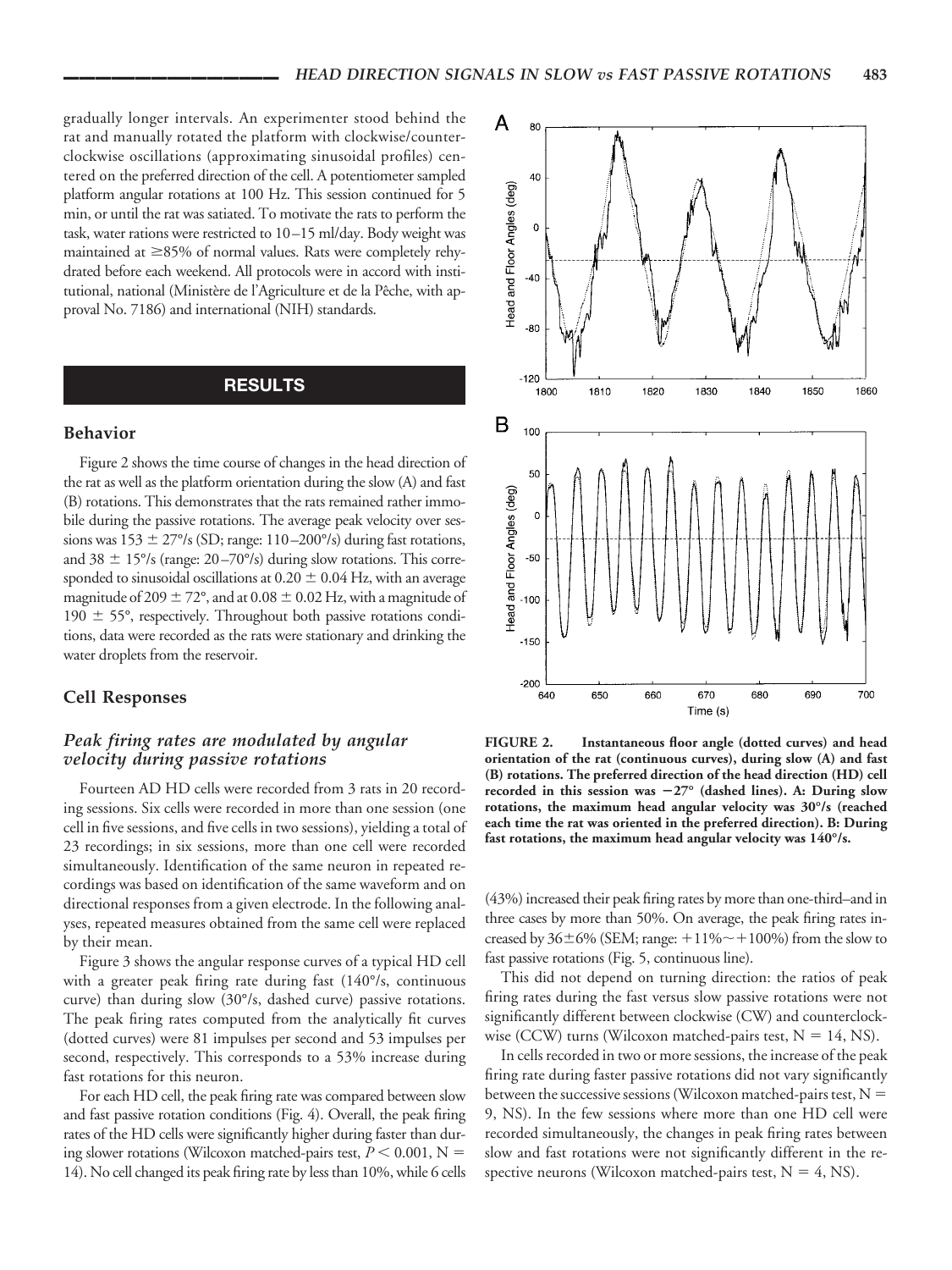gradually longer intervals. An experimenter stood behind the rat and manually rotated the platform with clockwise/counterclockwise oscillations (approximating sinusoidal profiles) centered on the preferred direction of the cell. A potentiometer sampled platform angular rotations at 100 Hz. This session continued for 5 min, or until the rat was satiated. To motivate the rats to perform the task, water rations were restricted to 10–15 ml/day. Body weight was maintained at  $\geq$ 85% of normal values. Rats were completely rehydrated before each weekend. All protocols were in accord with institutional, national (Ministère de l'Agriculture et de la Pêche, with approval No. 7186) and international (NIH) standards.

#### **RESULTS**

#### **Behavior**

Figure 2 shows the time course of changes in the head direction of the rat as well as the platform orientation during the slow (A) and fast (B) rotations. This demonstrates that the rats remained rather immobile during the passive rotations. The average peak velocity over sessions was  $153 \pm 27^{\circ}/s$  (SD; range:  $110-200^{\circ}/s$ ) during fast rotations, and 38  $\pm$  15°/s (range: 20–70°/s) during slow rotations. This corresponded to sinusoidal oscillations at  $0.20 \pm 0.04$  Hz, with an average magnitude of 209  $\pm$  72°, and at 0.08  $\pm$  0.02 Hz, with a magnitude of 190  $\pm$  55°, respectively. Throughout both passive rotations conditions, data were recorded as the rats were stationary and drinking the water droplets from the reservoir.

#### **Cell Responses**

### *Peak firing rates are modulated by angular velocity during passive rotations*

Fourteen AD HD cells were recorded from 3 rats in 20 recording sessions. Six cells were recorded in more than one session (one cell in five sessions, and five cells in two sessions), yielding a total of 23 recordings; in six sessions, more than one cell were recorded simultaneously. Identification of the same neuron in repeated recordings was based on identification of the same waveform and on directional responses from a given electrode. In the following analyses, repeated measures obtained from the same cell were replaced by their mean.

Figure 3 shows the angular response curves of a typical HD cell with a greater peak firing rate during fast (140°/s, continuous curve) than during slow (30°/s, dashed curve) passive rotations. The peak firing rates computed from the analytically fit curves (dotted curves) were 81 impulses per second and 53 impulses per second, respectively. This corresponds to a 53% increase during fast rotations for this neuron.

For each HD cell, the peak firing rate was compared between slow and fast passive rotation conditions (Fig. 4). Overall, the peak firing rates of the HD cells were significantly higher during faster than during slower rotations (Wilcoxon matched-pairs test,  $P \leq 0.001$ , N = 14). No cell changed its peak firing rate by less than 10%, while 6 cells



**FIGURE 2. Instantaneous floor angle (dotted curves) and head orientation of the rat (continuous curves), during slow (A) and fast (B) rotations. The preferred direction of the head direction (HD) cell recorded in this session was 27° (dashed lines). A: During slow rotations, the maximum head angular velocity was 30°/s (reached each time the rat was oriented in the preferred direction). B: During fast rotations, the maximum head angular velocity was 140°/s.**

(43%) increased their peak firing rates by more than one-third–and in three cases by more than 50%. On average, the peak firing rates increased by  $36\pm6\%$  (SEM; range:  $+11\% \sim +100\%$ ) from the slow to fast passive rotations (Fig. 5, continuous line).

This did not depend on turning direction: the ratios of peak firing rates during the fast versus slow passive rotations were not significantly different between clockwise (CW) and counterclockwise (CCW) turns (Wilcoxon matched-pairs test,  $N = 14$ , NS).

In cells recorded in two or more sessions, the increase of the peak firing rate during faster passive rotations did not vary significantly between the successive sessions (Wilcoxon matched-pairs test,  $N =$ 9, NS). In the few sessions where more than one HD cell were recorded simultaneously, the changes in peak firing rates between slow and fast rotations were not significantly different in the respective neurons (Wilcoxon matched-pairs test,  $N = 4$ , NS).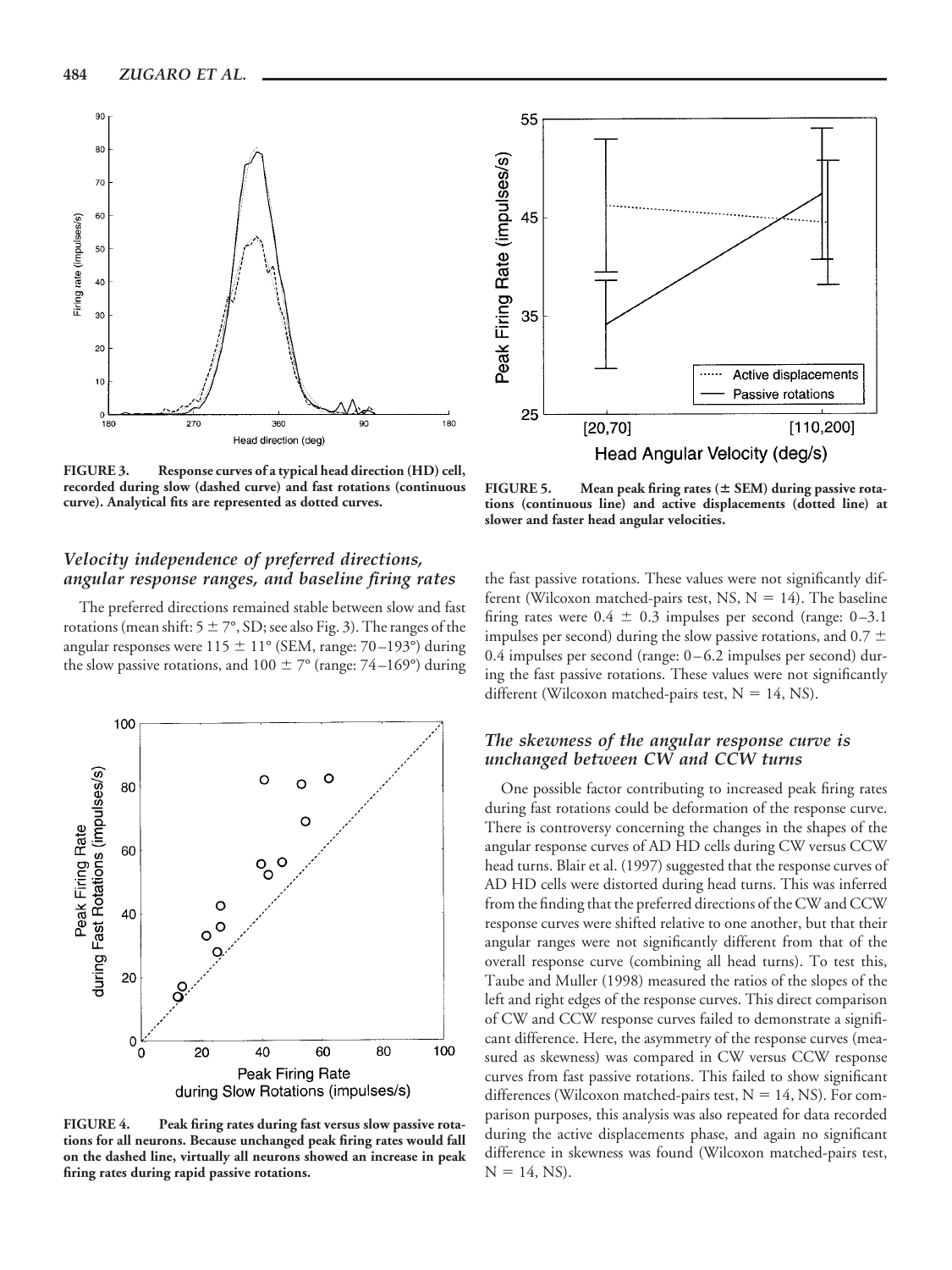

**FIGURE 3. Response curves of a typical head direction (HD) cell, recorded during slow (dashed curve) and fast rotations (continuous curve). Analytical fits are represented as dotted curves.**

### *Velocity independence of preferred directions, angular response ranges, and baseline firing rates*

The preferred directions remained stable between slow and fast rotations (mean shift:  $5 \pm 7^\circ$ , SD; see also Fig. 3). The ranges of the angular responses were  $115 \pm 11^{\circ}$  (SEM, range: 70–193°) during the slow passive rotations, and  $100 \pm 7^{\circ}$  (range: 74–169°) during



**FIGURE 4. Peak firing rates during fast versus slow passive rotations for all neurons. Because unchanged peak firing rates would fall on the dashed line, virtually all neurons showed an increase in peak firing rates during rapid passive rotations.**



**FIGURE 5. Mean peak firing rates ( SEM) during passive rotations (continuous line) and active displacements (dotted line) at slower and faster head angular velocities.**

the fast passive rotations. These values were not significantly different (Wilcoxon matched-pairs test, NS,  $N = 14$ ). The baseline firing rates were  $0.4 \pm 0.3$  impulses per second (range: 0–3.1) impulses per second) during the slow passive rotations, and  $0.7 \pm$ 0.4 impulses per second (range: 0–6.2 impulses per second) during the fast passive rotations. These values were not significantly different (Wilcoxon matched-pairs test,  $N = 14$ , NS).

### *The skewness of the angular response curve is unchanged between CW and CCW turns*

One possible factor contributing to increased peak firing rates during fast rotations could be deformation of the response curve. There is controversy concerning the changes in the shapes of the angular response curves of AD HD cells during CW versus CCW head turns. Blair et al. (1997) suggested that the response curves of AD HD cells were distorted during head turns. This was inferred from the finding that the preferred directions of the CW and CCW response curves were shifted relative to one another, but that their angular ranges were not significantly different from that of the overall response curve (combining all head turns). To test this, Taube and Muller (1998) measured the ratios of the slopes of the left and right edges of the response curves. This direct comparison of CW and CCW response curves failed to demonstrate a significant difference. Here, the asymmetry of the response curves (measured as skewness) was compared in CW versus CCW response curves from fast passive rotations. This failed to show significant differences (Wilcoxon matched-pairs test,  $N = 14$ , NS). For comparison purposes, this analysis was also repeated for data recorded during the active displacements phase, and again no significant difference in skewness was found (Wilcoxon matched-pairs test,  $N = 14$ , NS).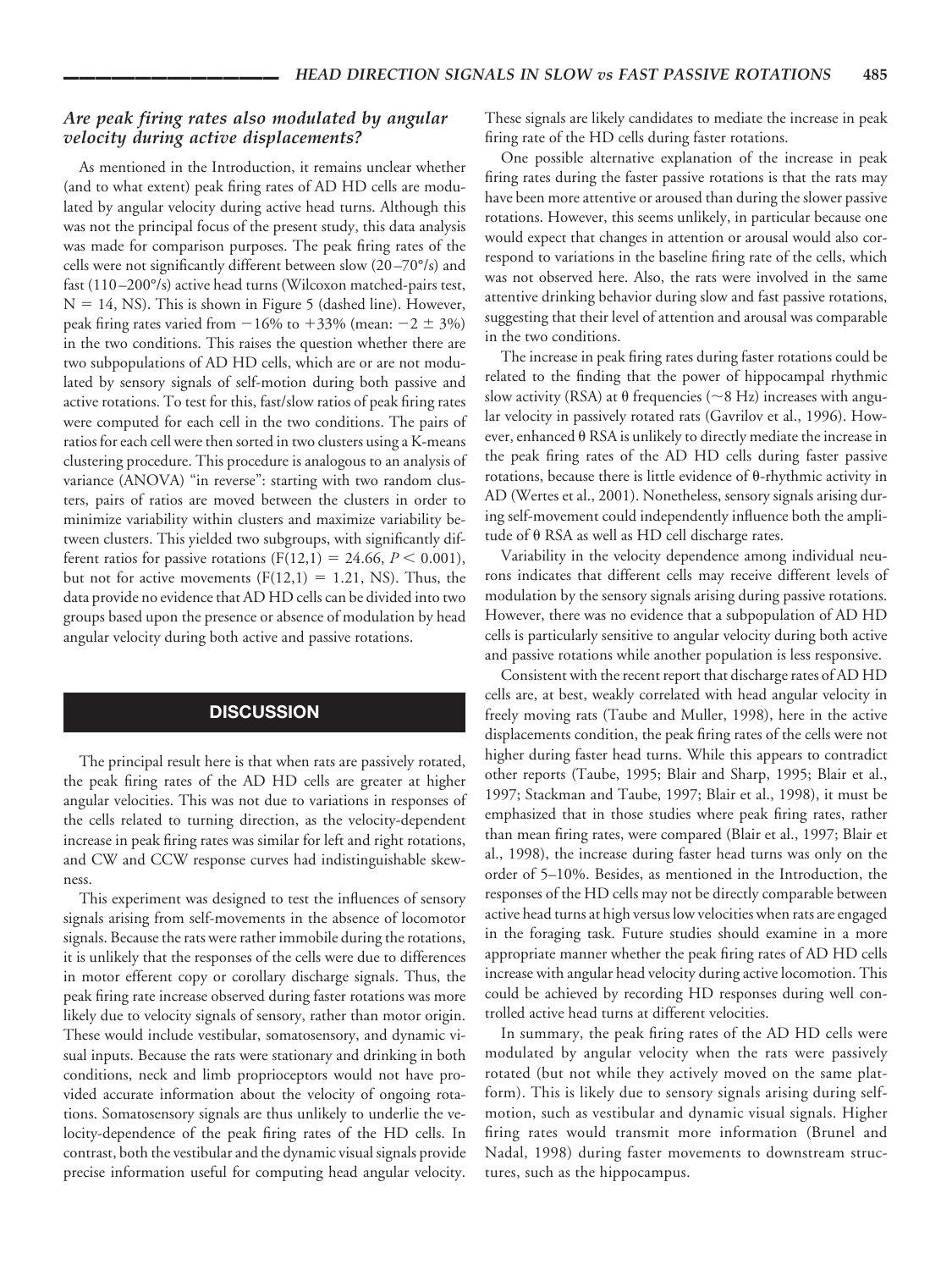### *Are peak firing rates also modulated by angular velocity during active displacements?*

As mentioned in the Introduction, it remains unclear whether (and to what extent) peak firing rates of AD HD cells are modulated by angular velocity during active head turns. Although this was not the principal focus of the present study, this data analysis was made for comparison purposes. The peak firing rates of the cells were not significantly different between slow (20–70°/s) and fast (110–200°/s) active head turns (Wilcoxon matched-pairs test,  $N = 14$ , NS). This is shown in Figure 5 (dashed line). However, peak firing rates varied from  $-16\%$  to  $+33\%$  (mean:  $-2 \pm 3\%$ ) in the two conditions. This raises the question whether there are two subpopulations of AD HD cells, which are or are not modulated by sensory signals of self-motion during both passive and active rotations. To test for this, fast/slow ratios of peak firing rates were computed for each cell in the two conditions. The pairs of ratios for each cell were then sorted in two clusters using a K-means clustering procedure. This procedure is analogous to an analysis of variance (ANOVA) "in reverse": starting with two random clusters, pairs of ratios are moved between the clusters in order to minimize variability within clusters and maximize variability between clusters. This yielded two subgroups, with significantly different ratios for passive rotations ( $F(12,1) = 24.66$ ,  $P < 0.001$ ), but not for active movements  $(F(12,1) = 1.21, NS)$ . Thus, the data provide no evidence that AD HD cells can be divided into two groups based upon the presence or absence of modulation by head angular velocity during both active and passive rotations.

### **DISCUSSION**

The principal result here is that when rats are passively rotated, the peak firing rates of the AD HD cells are greater at higher angular velocities. This was not due to variations in responses of the cells related to turning direction, as the velocity-dependent increase in peak firing rates was similar for left and right rotations, and CW and CCW response curves had indistinguishable skewness.

This experiment was designed to test the influences of sensory signals arising from self-movements in the absence of locomotor signals. Because the rats were rather immobile during the rotations, it is unlikely that the responses of the cells were due to differences in motor efferent copy or corollary discharge signals. Thus, the peak firing rate increase observed during faster rotations was more likely due to velocity signals of sensory, rather than motor origin. These would include vestibular, somatosensory, and dynamic visual inputs. Because the rats were stationary and drinking in both conditions, neck and limb proprioceptors would not have provided accurate information about the velocity of ongoing rotations. Somatosensory signals are thus unlikely to underlie the velocity-dependence of the peak firing rates of the HD cells. In contrast, both the vestibular and the dynamic visual signals provide precise information useful for computing head angular velocity. These signals are likely candidates to mediate the increase in peak firing rate of the HD cells during faster rotations.

One possible alternative explanation of the increase in peak firing rates during the faster passive rotations is that the rats may have been more attentive or aroused than during the slower passive rotations. However, this seems unlikely, in particular because one would expect that changes in attention or arousal would also correspond to variations in the baseline firing rate of the cells, which was not observed here. Also, the rats were involved in the same attentive drinking behavior during slow and fast passive rotations, suggesting that their level of attention and arousal was comparable in the two conditions.

The increase in peak firing rates during faster rotations could be related to the finding that the power of hippocampal rhythmic slow activity (RSA) at  $\theta$  frequencies (~8 Hz) increases with angular velocity in passively rotated rats (Gavrilov et al., 1996). However, enhanced  $\theta$  RSA is unlikely to directly mediate the increase in the peak firing rates of the AD HD cells during faster passive rotations, because there is little evidence of  $\theta$ -rhythmic activity in AD (Wertes et al., 2001). Nonetheless, sensory signals arising during self-movement could independently influence both the amplitude of  $\theta$  RSA as well as HD cell discharge rates.

Variability in the velocity dependence among individual neurons indicates that different cells may receive different levels of modulation by the sensory signals arising during passive rotations. However, there was no evidence that a subpopulation of AD HD cells is particularly sensitive to angular velocity during both active and passive rotations while another population is less responsive.

Consistent with the recent report that discharge rates of AD HD cells are, at best, weakly correlated with head angular velocity in freely moving rats (Taube and Muller, 1998), here in the active displacements condition, the peak firing rates of the cells were not higher during faster head turns. While this appears to contradict other reports (Taube, 1995; Blair and Sharp, 1995; Blair et al., 1997; Stackman and Taube, 1997; Blair et al., 1998), it must be emphasized that in those studies where peak firing rates, rather than mean firing rates, were compared (Blair et al., 1997; Blair et al., 1998), the increase during faster head turns was only on the order of 5–10%. Besides, as mentioned in the Introduction, the responses of the HD cells may not be directly comparable between active head turns at high versus low velocities when rats are engaged in the foraging task. Future studies should examine in a more appropriate manner whether the peak firing rates of AD HD cells increase with angular head velocity during active locomotion. This could be achieved by recording HD responses during well controlled active head turns at different velocities.

In summary, the peak firing rates of the AD HD cells were modulated by angular velocity when the rats were passively rotated (but not while they actively moved on the same platform). This is likely due to sensory signals arising during selfmotion, such as vestibular and dynamic visual signals. Higher firing rates would transmit more information (Brunel and Nadal, 1998) during faster movements to downstream structures, such as the hippocampus.